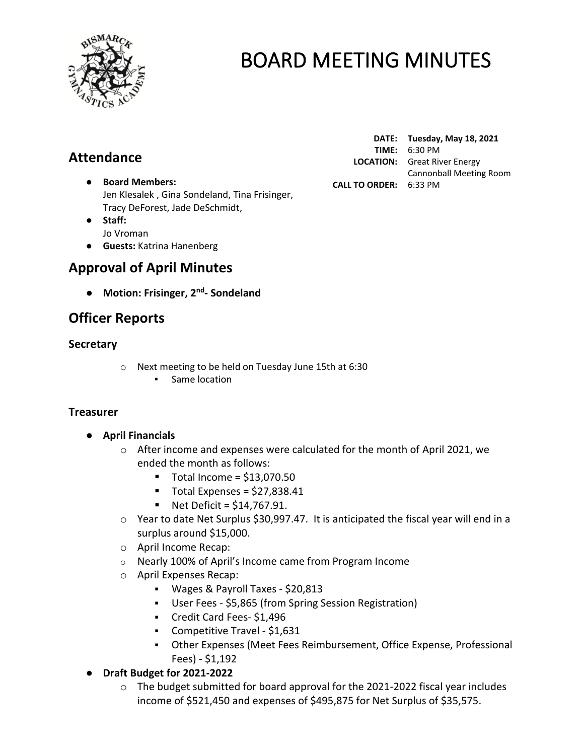

## **Attendance**

- **Board Members:** Jen Klesalek , Gina Sondeland, Tina Frisinger, Tracy DeForest, Jade DeSchmidt,
- **Staff:**  Jo Vroman
- **Guests:** Katrina Hanenberg

## **Approval of April Minutes**

● **Motion: Frisinger, 2 nd - Sondeland**

## **Officer Reports**

### **Secretary**

- o Next meeting to be held on Tuesday June 15th at 6:30
	- Same location

### **Treasurer**

- **April Financials** 
	- o After income and expenses were calculated for the month of April 2021, we ended the month as follows:
		- $\blacksquare$  Total Income = \$13,070.50
		- $\blacksquare$  Total Expenses = \$27,838.41
		- $\blacksquare$  Net Deficit = \$14.767.91.
	- o Year to date Net Surplus \$30,997.47. It is anticipated the fiscal year will end in a surplus around \$15,000.
	- o April Income Recap:
	- o Nearly 100% of April's Income came from Program Income
	- o April Expenses Recap:
		- Wages & Payroll Taxes \$20,813
		- User Fees \$5,865 (from Spring Session Registration)
		- Credit Card Fees- \$1,496
		- Competitive Travel \$1,631
		- Other Expenses (Meet Fees Reimbursement, Office Expense, Professional Fees) - \$1,192
- **Draft Budget for 2021-2022**
	- o The budget submitted for board approval for the 2021-2022 fiscal year includes income of \$521,450 and expenses of \$495,875 for Net Surplus of \$35,575.

**DATE: Tuesday, May 18, 2021 TIME:** 6:30 PM **LOCATION:** Great River Energy Cannonball Meeting Room **CALL TO ORDER:** 6:33 PM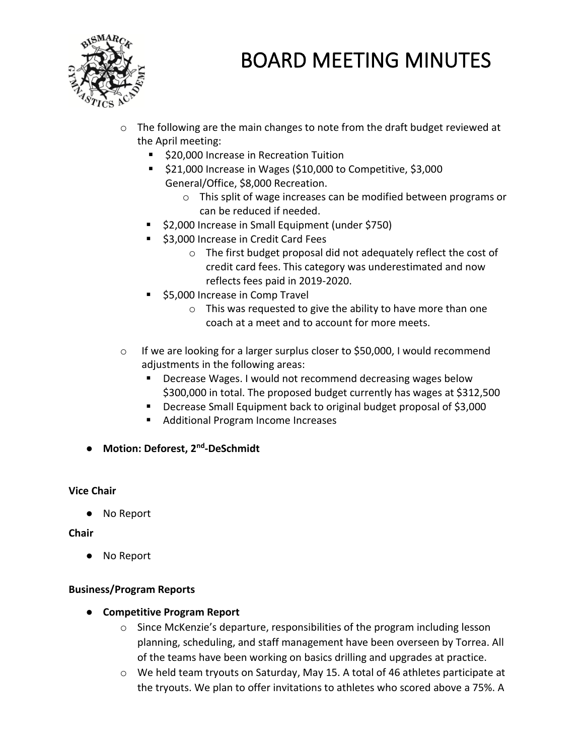

- $\circ$  The following are the main changes to note from the draft budget reviewed at the April meeting:
	- \$20,000 Increase in Recreation Tuition
	- \$21,000 Increase in Wages (\$10,000 to Competitive, \$3,000 General/Office, \$8,000 Recreation.
		- o This split of wage increases can be modified between programs or can be reduced if needed.
	- \$2,000 Increase in Small Equipment (under \$750)
	- \$3,000 Increase in Credit Card Fees
		- o The first budget proposal did not adequately reflect the cost of credit card fees. This category was underestimated and now reflects fees paid in 2019-2020.
	- \$5,000 Increase in Comp Travel
		- o This was requested to give the ability to have more than one coach at a meet and to account for more meets.
- o If we are looking for a larger surplus closer to \$50,000, I would recommend adjustments in the following areas:
	- Decrease Wages. I would not recommend decreasing wages below \$300,000 in total. The proposed budget currently has wages at \$312,500
	- Decrease Small Equipment back to original budget proposal of \$3,000
	- Additional Program Income Increases
- **Motion: Deforest, 2nd -DeSchmidt**

#### **Vice Chair**

● No Report

#### **Chair**

● No Report

#### **Business/Program Reports**

- **Competitive Program Report**
	- $\circ$  Since McKenzie's departure, responsibilities of the program including lesson planning, scheduling, and staff management have been overseen by Torrea. All of the teams have been working on basics drilling and upgrades at practice.
	- o We held team tryouts on Saturday, May 15. A total of 46 athletes participate at the tryouts. We plan to offer invitations to athletes who scored above a 75%. A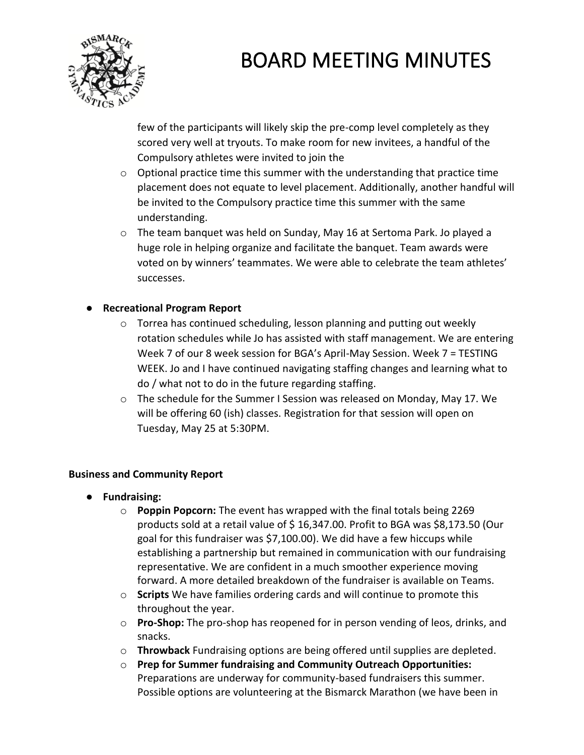

few of the participants will likely skip the pre-comp level completely as they scored very well at tryouts. To make room for new invitees, a handful of the Compulsory athletes were invited to join the

- o Optional practice time this summer with the understanding that practice time placement does not equate to level placement. Additionally, another handful will be invited to the Compulsory practice time this summer with the same understanding.
- o The team banquet was held on Sunday, May 16 at Sertoma Park. Jo played a huge role in helping organize and facilitate the banquet. Team awards were voted on by winners' teammates. We were able to celebrate the team athletes' successes.

### ● **Recreational Program Report**

- o Torrea has continued scheduling, lesson planning and putting out weekly rotation schedules while Jo has assisted with staff management. We are entering Week 7 of our 8 week session for BGA's April-May Session. Week 7 = TESTING WEEK. Jo and I have continued navigating staffing changes and learning what to do / what not to do in the future regarding staffing.
- $\circ$  The schedule for the Summer I Session was released on Monday, May 17. We will be offering 60 (ish) classes. Registration for that session will open on Tuesday, May 25 at 5:30PM.

### **Business and Community Report**

- **Fundraising:**
	- o **Poppin Popcorn:** The event has wrapped with the final totals being 2269 products sold at a retail value of \$ 16,347.00. Profit to BGA was \$8,173.50 (Our goal for this fundraiser was \$7,100.00). We did have a few hiccups while establishing a partnership but remained in communication with our fundraising representative. We are confident in a much smoother experience moving forward. A more detailed breakdown of the fundraiser is available on Teams.
	- o **Scripts** We have families ordering cards and will continue to promote this throughout the year.
	- o **Pro-Shop:** The pro-shop has reopened for in person vending of leos, drinks, and snacks.
	- o **Throwback** Fundraising options are being offered until supplies are depleted.
	- o **Prep for Summer fundraising and Community Outreach Opportunities:**  Preparations are underway for community-based fundraisers this summer. Possible options are volunteering at the Bismarck Marathon (we have been in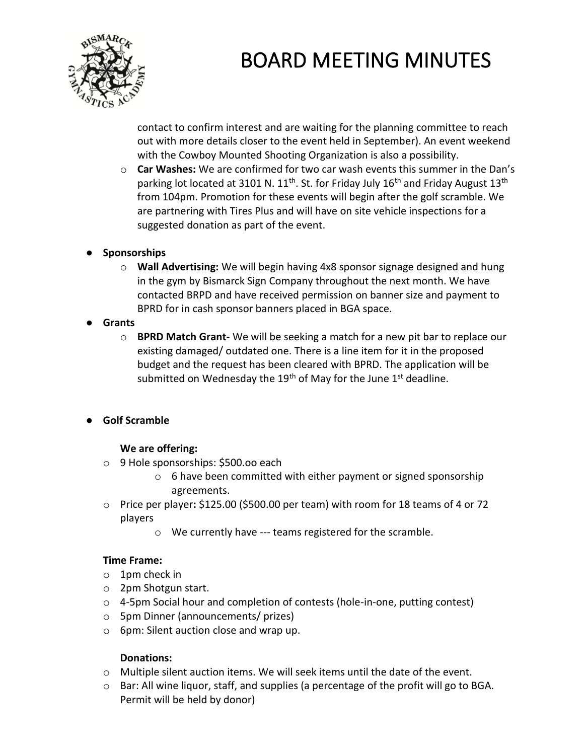

contact to confirm interest and are waiting for the planning committee to reach out with more details closer to the event held in September). An event weekend with the Cowboy Mounted Shooting Organization is also a possibility.

- o **Car Washes:** We are confirmed for two car wash events this summer in the Dan's parking lot located at 3101 N.  $11^{th}$ . St. for Friday July 16<sup>th</sup> and Friday August 13<sup>th</sup> from 104pm. Promotion for these events will begin after the golf scramble. We are partnering with Tires Plus and will have on site vehicle inspections for a suggested donation as part of the event.
- **Sponsorships**
	- o **Wall Advertising:** We will begin having 4x8 sponsor signage designed and hung in the gym by Bismarck Sign Company throughout the next month. We have contacted BRPD and have received permission on banner size and payment to BPRD for in cash sponsor banners placed in BGA space.
- **Grants**
	- o **BPRD Match Grant-** We will be seeking a match for a new pit bar to replace our existing damaged/ outdated one. There is a line item for it in the proposed budget and the request has been cleared with BPRD. The application will be submitted on Wednesday the 19<sup>th</sup> of May for the June 1<sup>st</sup> deadline.
- **Golf Scramble**

### **We are offering:**

- o 9 Hole sponsorships: \$500.oo each
	- o 6 have been committed with either payment or signed sponsorship agreements.
- o Price per player**:** \$125.00 (\$500.00 per team) with room for 18 teams of 4 or 72 players
	- o We currently have --- teams registered for the scramble.

### **Time Frame:**

- o 1pm check in
- o 2pm Shotgun start.
- $\circ$  4-5pm Social hour and completion of contests (hole-in-one, putting contest)
- o 5pm Dinner (announcements/ prizes)
- o 6pm: Silent auction close and wrap up.

### **Donations:**

- $\circ$  Multiple silent auction items. We will seek items until the date of the event.
- $\circ$  Bar: All wine liquor, staff, and supplies (a percentage of the profit will go to BGA. Permit will be held by donor)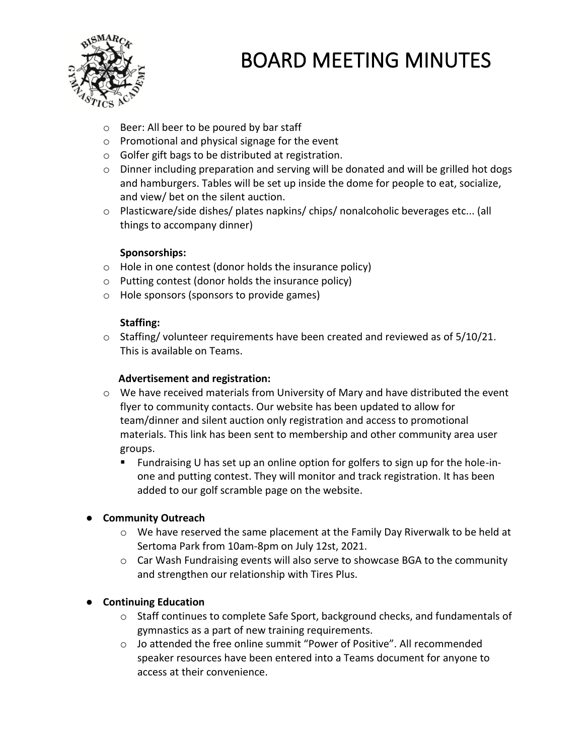

- o Beer: All beer to be poured by bar staff
- o Promotional and physical signage for the event
- o Golfer gift bags to be distributed at registration.
- $\circ$  Dinner including preparation and serving will be donated and will be grilled hot dogs and hamburgers. Tables will be set up inside the dome for people to eat, socialize, and view/ bet on the silent auction.
- o Plasticware/side dishes/ plates napkins/ chips/ nonalcoholic beverages etc... (all things to accompany dinner)

#### **Sponsorships:**

- o Hole in one contest (donor holds the insurance policy)
- o Putting contest (donor holds the insurance policy)
- o Hole sponsors (sponsors to provide games)

#### **Staffing:**

o Staffing/ volunteer requirements have been created and reviewed as of 5/10/21. This is available on Teams.

#### **Advertisement and registration:**

- o We have received materials from University of Mary and have distributed the event flyer to community contacts. Our website has been updated to allow for team/dinner and silent auction only registration and access to promotional materials. This link has been sent to membership and other community area user groups.
	- Fundraising U has set up an online option for golfers to sign up for the hole-inone and putting contest. They will monitor and track registration. It has been added to our golf scramble page on the website.

### ● **Community Outreach**

- o We have reserved the same placement at the Family Day Riverwalk to be held at Sertoma Park from 10am-8pm on July 12st, 2021.
- o Car Wash Fundraising events will also serve to showcase BGA to the community and strengthen our relationship with Tires Plus.

### ● **Continuing Education**

- $\circ$  Staff continues to complete Safe Sport, background checks, and fundamentals of gymnastics as a part of new training requirements.
- o Jo attended the free online summit "Power of Positive". All recommended speaker resources have been entered into a Teams document for anyone to access at their convenience.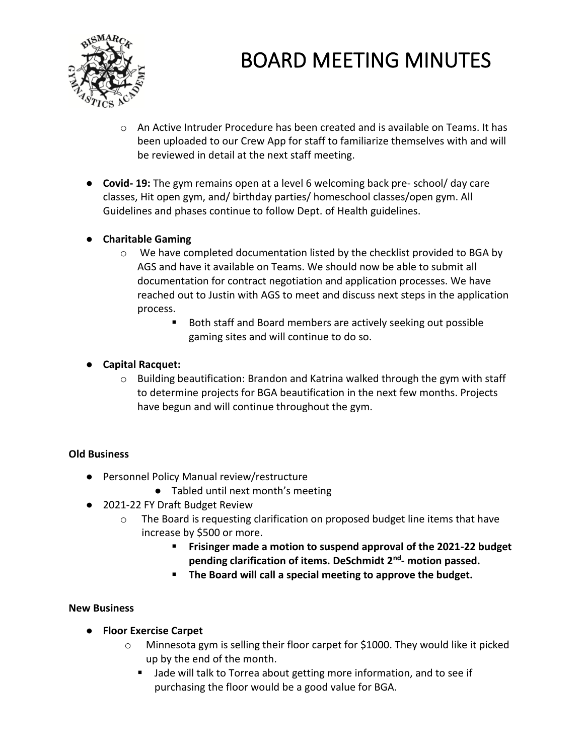

- $\circ$  An Active Intruder Procedure has been created and is available on Teams. It has been uploaded to our Crew App for staff to familiarize themselves with and will be reviewed in detail at the next staff meeting.
- **Covid- 19:** The gym remains open at a level 6 welcoming back pre- school/ day care classes, Hit open gym, and/ birthday parties/ homeschool classes/open gym. All Guidelines and phases continue to follow Dept. of Health guidelines.

### ● **Charitable Gaming**

- $\circ$  We have completed documentation listed by the checklist provided to BGA by AGS and have it available on Teams. We should now be able to submit all documentation for contract negotiation and application processes. We have reached out to Justin with AGS to meet and discuss next steps in the application process.
	- Both staff and Board members are actively seeking out possible gaming sites and will continue to do so.

### ● **Capital Racquet:**

 $\circ$  Building beautification: Brandon and Katrina walked through the gym with staff to determine projects for BGA beautification in the next few months. Projects have begun and will continue throughout the gym.

### **Old Business**

- Personnel Policy Manual review/restructure
	- Tabled until next month's meeting
- 2021-22 FY Draft Budget Review
	- o The Board is requesting clarification on proposed budget line items that have increase by \$500 or more.
		- **Frisinger made a motion to suspend approval of the 2021-22 budget pending clarification of items. DeSchmidt 2nd - motion passed.**
		- **The Board will call a special meeting to approve the budget.**

### **New Business**

- **Floor Exercise Carpet**
	- o Minnesota gym is selling their floor carpet for \$1000. They would like it picked up by the end of the month.
		- Jade will talk to Torrea about getting more information, and to see if purchasing the floor would be a good value for BGA.